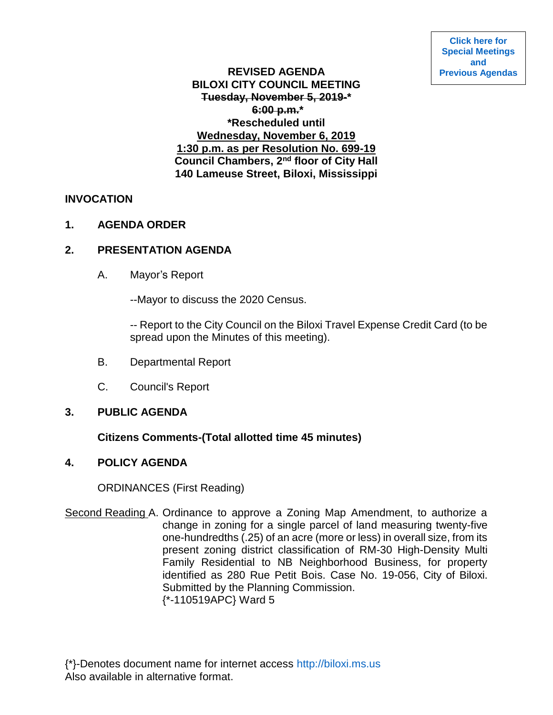# **REVISED AGENDA BILOXI CITY COUNCIL MEETING Tuesday, November 5, 2019-\* 6:00 p.m.\* \*Rescheduled until Wednesday, November 6, 2019 1:30 p.m. as per Resolution No. 699-19 Council Chambers, 2nd floor of City Hall 140 Lameuse Street, Biloxi, Mississippi**

# **INVOCATION**

### **1. AGENDA ORDER**

# **2. PRESENTATION AGENDA**

A. Mayor's Report

--Mayor to discuss the 2020 Census.

-- Report to the City Council on the Biloxi Travel Expense Credit Card (to be spread upon the Minutes of this meeting).

- B. Departmental Report
- C. Council's Report

### **3. PUBLIC AGENDA**

# **Citizens Comments-(Total allotted time 45 minutes)**

### **4. POLICY AGENDA**

ORDINANCES (First Reading)

Second Reading A. Ordinance to approve a Zoning Map Amendment, to authorize a change in zoning for a single parcel of land measuring twenty-five one-hundredths (.25) of an acre (more or less) in overall size, from its present zoning district classification of RM-30 High-Density Multi Family Residential to NB Neighborhood Business, for property identified as 280 Rue Petit Bois. Case No. 19-056, City of Biloxi. Submitted by the Planning Commission. {\*-110519APC} Ward 5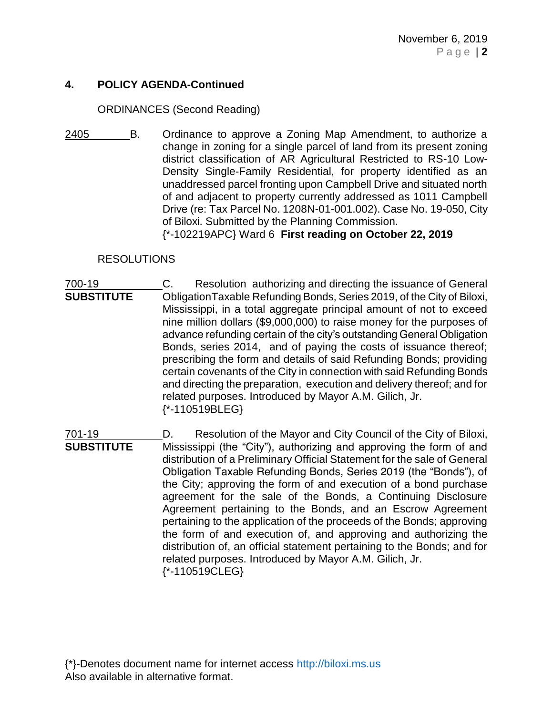# **4. POLICY AGENDA-Continued**

#### ORDINANCES (Second Reading)

2405 B. Ordinance to approve a Zoning Map Amendment, to authorize a change in zoning for a single parcel of land from its present zoning district classification of AR Agricultural Restricted to RS-10 Low-Density Single-Family Residential, for property identified as an unaddressed parcel fronting upon Campbell Drive and situated north of and adjacent to property currently addressed as 1011 Campbell Drive (re: Tax Parcel No. 1208N-01-001.002). Case No. 19-050, City of Biloxi. Submitted by the Planning Commission.

{\*-102219APC} Ward 6 **First reading on October 22, 2019**

### RESOLUTIONS

- 700-19 C. Resolution authorizing and directing the issuance of General **SUBSTITUTE** ObligationTaxable Refunding Bonds, Series 2019, of the City of Biloxi, Mississippi, in a total aggregate principal amount of not to exceed nine million dollars (\$9,000,000) to raise money for the purposes of advance refunding certain of the city's outstanding General Obligation Bonds, series 2014, and of paying the costs of issuance thereof; prescribing the form and details of said Refunding Bonds; providing certain covenants of the City in connection with said Refunding Bonds and directing the preparation, execution and delivery thereof; and for related purposes. Introduced by Mayor A.M. Gilich, Jr. {\*-110519BLEG}
- 701-19 D. Resolution of the Mayor and City Council of the City of Biloxi, **SUBSTITUTE** Mississippi (the "City"), authorizing and approving the form of and distribution of a Preliminary Official Statement for the sale of General Obligation Taxable Refunding Bonds, Series 2019 (the "Bonds"), of the City; approving the form of and execution of a bond purchase agreement for the sale of the Bonds, a Continuing Disclosure Agreement pertaining to the Bonds, and an Escrow Agreement pertaining to the application of the proceeds of the Bonds; approving the form of and execution of, and approving and authorizing the distribution of, an official statement pertaining to the Bonds; and for related purposes. Introduced by Mayor A.M. Gilich, Jr. {\*-110519CLEG}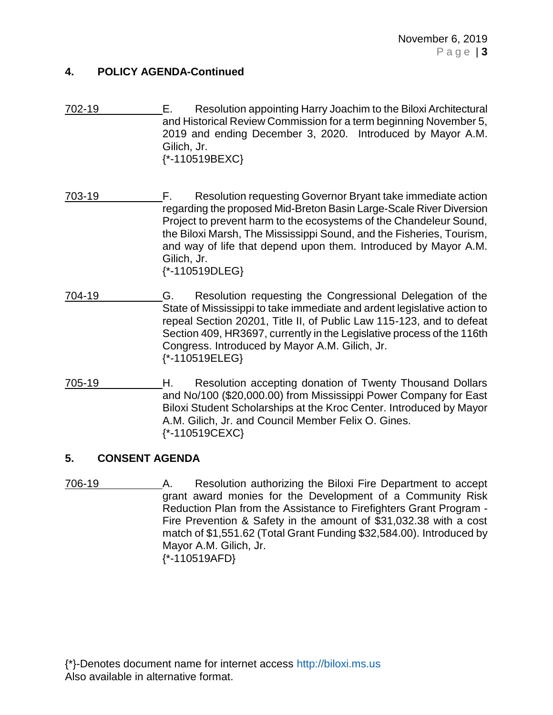### **4. POLICY AGENDA-Continued**

- 702-19 E. Resolution appointing Harry Joachim to the Biloxi Architectural and Historical Review Commission for a term beginning November 5, 2019 and ending December 3, 2020. Introduced by Mayor A.M. Gilich, Jr. {\*-110519BEXC}
- 703-19 F. Resolution requesting Governor Bryant take immediate action regarding the proposed Mid-Breton Basin Large-Scale River Diversion Project to prevent harm to the ecosystems of the Chandeleur Sound, the Biloxi Marsh, The Mississippi Sound, and the Fisheries, Tourism, and way of life that depend upon them. Introduced by Mayor A.M. Gilich, Jr. {\*-110519DLEG}
- 704-19 G. Resolution requesting the Congressional Delegation of the State of Mississippi to take immediate and ardent legislative action to repeal Section 20201, Title II, of Public Law 115-123, and to defeat Section 409, HR3697, currently in the Legislative process of the 116th Congress. Introduced by Mayor A.M. Gilich, Jr. {\*-110519ELEG}
- 705-19 H. Resolution accepting donation of Twenty Thousand Dollars and No/100 (\$20,000.00) from Mississippi Power Company for East Biloxi Student Scholarships at the Kroc Center. Introduced by Mayor A.M. Gilich, Jr. and Council Member Felix O. Gines. {\*-110519CEXC}

# **5. CONSENT AGENDA**

706-19 A. Resolution authorizing the Biloxi Fire Department to accept grant award monies for the Development of a Community Risk Reduction Plan from the Assistance to Firefighters Grant Program - Fire Prevention & Safety in the amount of \$31,032.38 with a cost match of \$1,551.62 (Total Grant Funding \$32,584.00). Introduced by Mayor A.M. Gilich, Jr. {\*-110519AFD}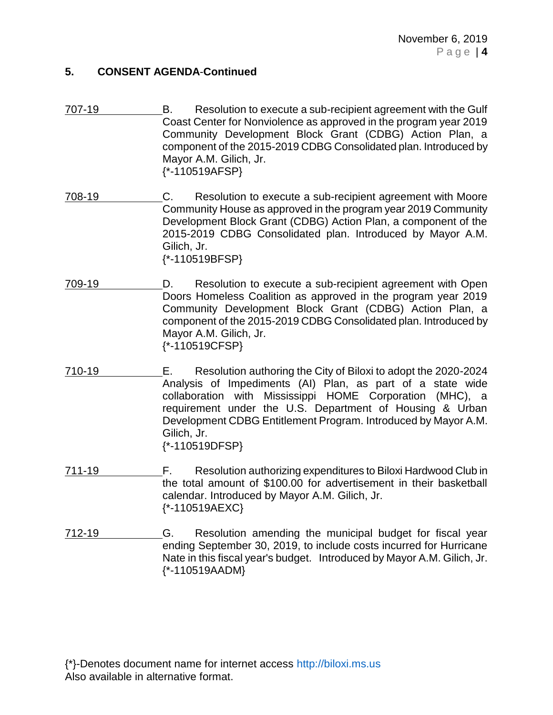- 707-19 B. Resolution to execute a sub-recipient agreement with the Gulf Coast Center for Nonviolence as approved in the program year 2019 Community Development Block Grant (CDBG) Action Plan, a component of the 2015-2019 CDBG Consolidated plan. Introduced by Mayor A.M. Gilich, Jr. {\*-110519AFSP}
- 708-19 C. Resolution to execute a sub-recipient agreement with Moore Community House as approved in the program year 2019 Community Development Block Grant (CDBG) Action Plan, a component of the 2015-2019 CDBG Consolidated plan. Introduced by Mayor A.M. Gilich, Jr. {\*-110519BFSP}
- 709-19 D. Resolution to execute a sub-recipient agreement with Open Doors Homeless Coalition as approved in the program year 2019 Community Development Block Grant (CDBG) Action Plan, a component of the 2015-2019 CDBG Consolidated plan. Introduced by Mayor A.M. Gilich, Jr. {\*-110519CFSP}
- 710-19 E. Resolution authoring the City of Biloxi to adopt the 2020-2024 Analysis of Impediments (AI) Plan, as part of a state wide collaboration with Mississippi HOME Corporation (MHC), a requirement under the U.S. Department of Housing & Urban Development CDBG Entitlement Program. Introduced by Mayor A.M. Gilich, Jr. {\*-110519DFSP}
- 711-19 F. Resolution authorizing expenditures to Biloxi Hardwood Club in the total amount of \$100.00 for advertisement in their basketball calendar. Introduced by Mayor A.M. Gilich, Jr. {\*-110519AEXC}
- 712-19 G. Resolution amending the municipal budget for fiscal year ending September 30, 2019, to include costs incurred for Hurricane Nate in this fiscal year's budget. Introduced by Mayor A.M. Gilich, Jr. {\*-110519AADM}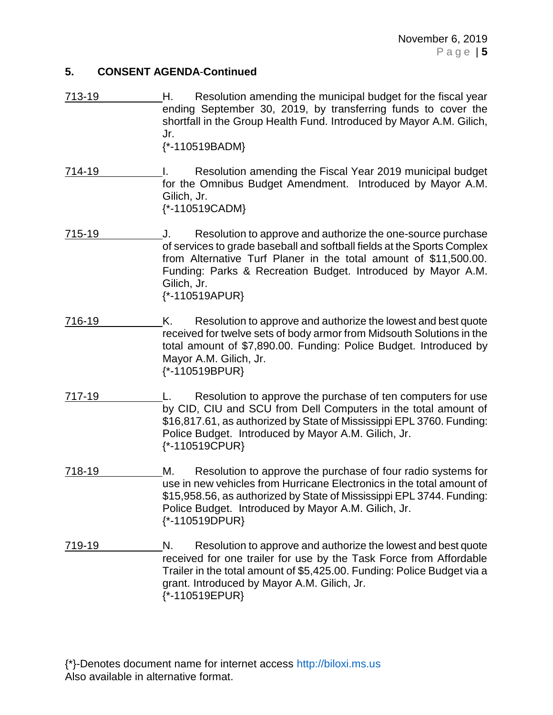- 713-19 H. Resolution amending the municipal budget for the fiscal year ending September 30, 2019, by transferring funds to cover the shortfall in the Group Health Fund. Introduced by Mayor A.M. Gilich, Jr. {\*-110519BADM}
- 714-19 I. Resolution amending the Fiscal Year 2019 municipal budget for the Omnibus Budget Amendment. Introduced by Mayor A.M. Gilich, Jr. {\*-110519CADM}
- 715-19 J. Resolution to approve and authorize the one-source purchase of services to grade baseball and softball fields at the Sports Complex from Alternative Turf Planer in the total amount of \$11,500.00. Funding: Parks & Recreation Budget. Introduced by Mayor A.M. Gilich, Jr. {\*-110519APUR}
- 716-19 K. Resolution to approve and authorize the lowest and best quote received for twelve sets of body armor from Midsouth Solutions in the total amount of \$7,890.00. Funding: Police Budget. Introduced by Mayor A.M. Gilich, Jr. {\*-110519BPUR}
- 717-19 L. Resolution to approve the purchase of ten computers for use by CID, CIU and SCU from Dell Computers in the total amount of \$16,817.61, as authorized by State of Mississippi EPL 3760. Funding: Police Budget. Introduced by Mayor A.M. Gilich, Jr. {\*-110519CPUR}
- 718-19 M. Resolution to approve the purchase of four radio systems for use in new vehicles from Hurricane Electronics in the total amount of \$15,958.56, as authorized by State of Mississippi EPL 3744. Funding: Police Budget. Introduced by Mayor A.M. Gilich, Jr. {\*-110519DPUR}
- 719-19 N. Resolution to approve and authorize the lowest and best quote received for one trailer for use by the Task Force from Affordable Trailer in the total amount of \$5,425.00. Funding: Police Budget via a grant. Introduced by Mayor A.M. Gilich, Jr. {\*-110519EPUR}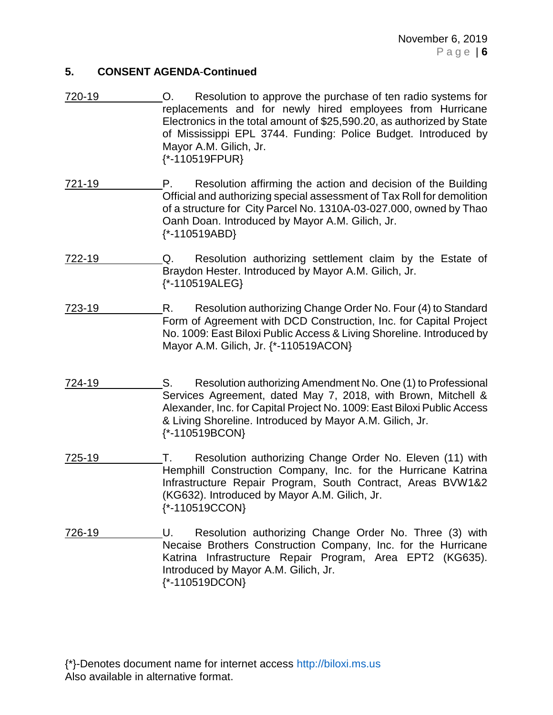- 720-19 O. Resolution to approve the purchase of ten radio systems for replacements and for newly hired employees from Hurricane Electronics in the total amount of \$25,590.20, as authorized by State of Mississippi EPL 3744. Funding: Police Budget. Introduced by Mayor A.M. Gilich, Jr. {\*-110519FPUR}
- 721-19 P. Resolution affirming the action and decision of the Building Official and authorizing special assessment of Tax Roll for demolition of a structure for City Parcel No. 1310A-03-027.000, owned by Thao Oanh Doan. Introduced by Mayor A.M. Gilich, Jr. {\*-110519ABD}
- 722-19 Q. Resolution authorizing settlement claim by the Estate of Braydon Hester. Introduced by Mayor A.M. Gilich, Jr. {\*-110519ALEG}
- 723-19 R. Resolution authorizing Change Order No. Four (4) to Standard Form of Agreement with DCD Construction, Inc. for Capital Project No. 1009: East Biloxi Public Access & Living Shoreline. Introduced by Mayor A.M. Gilich, Jr. {\*-110519ACON}
- 724-19 S. Resolution authorizing Amendment No. One (1) to Professional Services Agreement, dated May 7, 2018, with Brown, Mitchell & Alexander, Inc. for Capital Project No. 1009: East Biloxi Public Access & Living Shoreline. Introduced by Mayor A.M. Gilich, Jr. {\*-110519BCON}
- 725-19 T. Resolution authorizing Change Order No. Eleven (11) with Hemphill Construction Company, Inc. for the Hurricane Katrina Infrastructure Repair Program, South Contract, Areas BVW1&2 (KG632). Introduced by Mayor A.M. Gilich, Jr. {\*-110519CCON}
- 726-19 U. Resolution authorizing Change Order No. Three (3) with Necaise Brothers Construction Company, Inc. for the Hurricane Katrina Infrastructure Repair Program, Area EPT2 (KG635). Introduced by Mayor A.M. Gilich, Jr. {\*-110519DCON}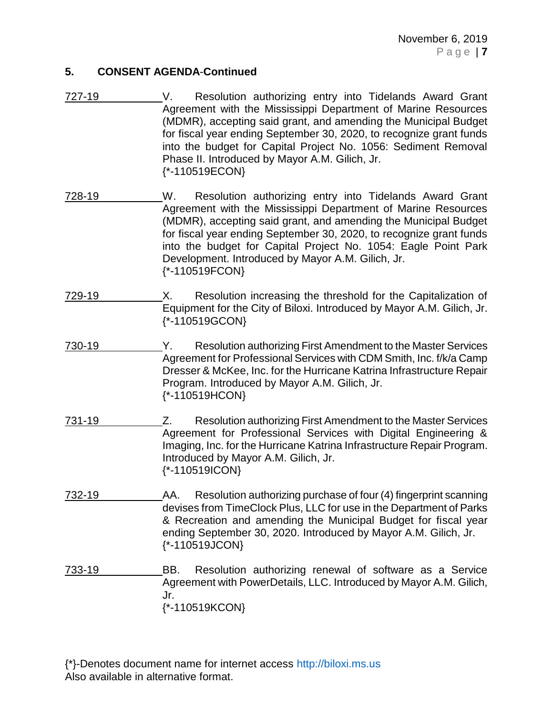November 6, 2019 P a g e | **7**

### **5. CONSENT AGENDA**-**Continued**

- 727-19 V. Resolution authorizing entry into Tidelands Award Grant Agreement with the Mississippi Department of Marine Resources (MDMR), accepting said grant, and amending the Municipal Budget for fiscal year ending September 30, 2020, to recognize grant funds into the budget for Capital Project No. 1056: Sediment Removal Phase II. Introduced by Mayor A.M. Gilich, Jr. {\*-110519ECON}
- 728-19 W. Resolution authorizing entry into Tidelands Award Grant Agreement with the Mississippi Department of Marine Resources (MDMR), accepting said grant, and amending the Municipal Budget for fiscal year ending September 30, 2020, to recognize grant funds into the budget for Capital Project No. 1054: Eagle Point Park Development. Introduced by Mayor A.M. Gilich, Jr. {\*-110519FCON}
- 729-19 X. Resolution increasing the threshold for the Capitalization of Equipment for the City of Biloxi. Introduced by Mayor A.M. Gilich, Jr. {\*-110519GCON}
- 730-19 Y. Resolution authorizing First Amendment to the Master Services Agreement for Professional Services with CDM Smith, Inc. f/k/a Camp Dresser & McKee, Inc. for the Hurricane Katrina Infrastructure Repair Program. Introduced by Mayor A.M. Gilich, Jr. {\*-110519HCON}
- 731-19 Z. Resolution authorizing First Amendment to the Master Services Agreement for Professional Services with Digital Engineering & Imaging, Inc. for the Hurricane Katrina Infrastructure Repair Program. Introduced by Mayor A.M. Gilich, Jr. {\*-110519ICON}
- 732-19 AA. Resolution authorizing purchase of four (4) fingerprint scanning devises from TimeClock Plus, LLC for use in the Department of Parks & Recreation and amending the Municipal Budget for fiscal year ending September 30, 2020. Introduced by Mayor A.M. Gilich, Jr. {\*-110519JCON}
- 733-19 BB. Resolution authorizing renewal of software as a Service Agreement with PowerDetails, LLC. Introduced by Mayor A.M. Gilich, Jr. {\*-110519KCON}

<sup>{\*}-</sup>Denotes document name for internet access [http://biloxi.ms.us](http://biloxi.ms.us/) Also available in alternative format.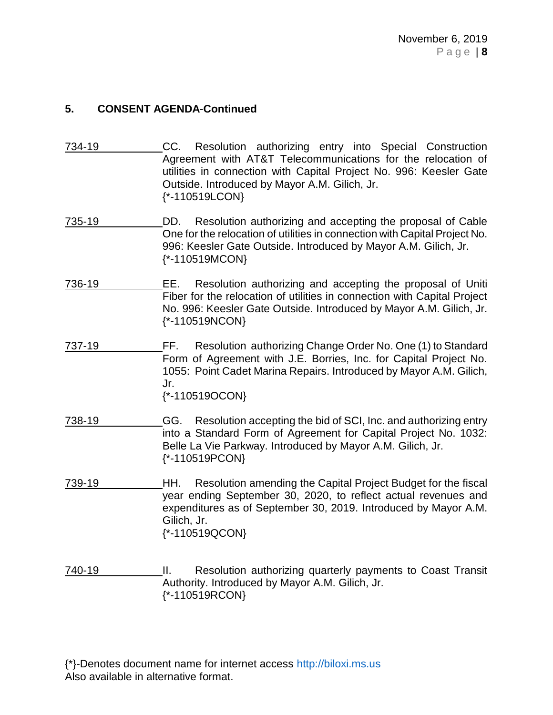- 734-19 CC. Resolution authorizing entry into Special Construction Agreement with AT&T Telecommunications for the relocation of utilities in connection with Capital Project No. 996: Keesler Gate Outside. Introduced by Mayor A.M. Gilich, Jr. {\*-110519LCON}
- 735-19 DD. Resolution authorizing and accepting the proposal of Cable One for the relocation of utilities in connection with Capital Project No. 996: Keesler Gate Outside. Introduced by Mayor A.M. Gilich, Jr. {\*-110519MCON}
- 736-19 EE. Resolution authorizing and accepting the proposal of Uniti Fiber for the relocation of utilities in connection with Capital Project No. 996: Keesler Gate Outside. Introduced by Mayor A.M. Gilich, Jr. {\*-110519NCON}
- 737-19 FF. Resolution authorizing Change Order No. One (1) to Standard Form of Agreement with J.E. Borries, Inc. for Capital Project No. 1055: Point Cadet Marina Repairs. Introduced by Mayor A.M. Gilich, Jr. {\*-110519OCON}
- 738-19 GG. Resolution accepting the bid of SCI, Inc. and authorizing entry into a Standard Form of Agreement for Capital Project No. 1032: Belle La Vie Parkway. Introduced by Mayor A.M. Gilich, Jr. {\*-110519PCON}
- 739-19 HH. Resolution amending the Capital Project Budget for the fiscal year ending September 30, 2020, to reflect actual revenues and expenditures as of September 30, 2019. Introduced by Mayor A.M. Gilich, Jr. {\*-110519QCON}
- 740-19 **II.** Resolution authorizing quarterly payments to Coast Transit Authority. Introduced by Mayor A.M. Gilich, Jr. {\*-110519RCON}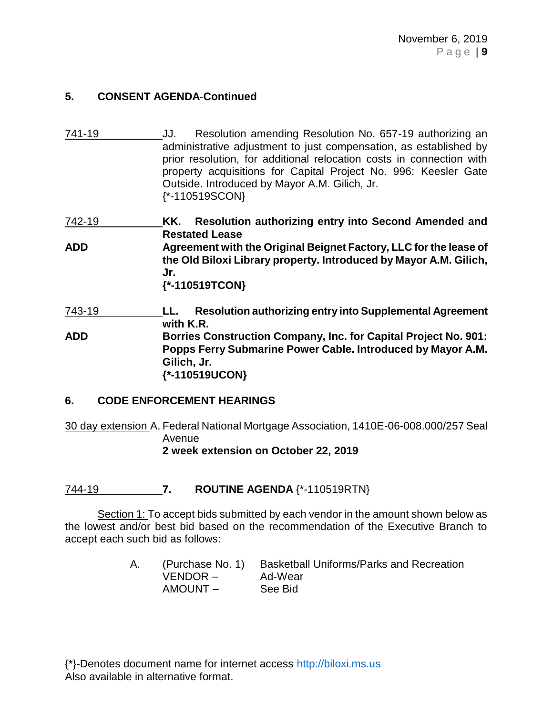741-19 JJ. Resolution amending Resolution No. 657-19 authorizing an administrative adjustment to just compensation, as established by prior resolution, for additional relocation costs in connection with property acquisitions for Capital Project No. 996: Keesler Gate Outside. Introduced by Mayor A.M. Gilich, Jr. {\*-110519SCON}

742-19 **KK. Resolution authorizing entry into Second Amended and Restated Lease ADD Agreement with the Original Beignet Factory, LLC for the lease of the Old Biloxi Library property. Introduced by Mayor A.M. Gilich, Jr. {\*-110519TCON}**

743-19 **LL. Resolution authorizing entry into Supplemental Agreement with K.R. ADD Borries Construction Company, Inc. for Capital Project No. 901: Popps Ferry Submarine Power Cable. Introduced by Mayor A.M. Gilich, Jr. {\*-110519UCON}**

### **6. CODE ENFORCEMENT HEARINGS**

30 day extension A. Federal National Mortgage Association, 1410E-06-008.000/257 Seal Avenue **2 week extension on October 22, 2019**

744-19 **7. ROUTINE AGENDA** {\*-110519RTN}

Section 1: To accept bids submitted by each vendor in the amount shown below as the lowest and/or best bid based on the recommendation of the Executive Branch to accept each such bid as follows:

> A. (Purchase No. 1) Basketball Uniforms/Parks and Recreation VENDOR – Ad-Wear AMOUNT – See Bid